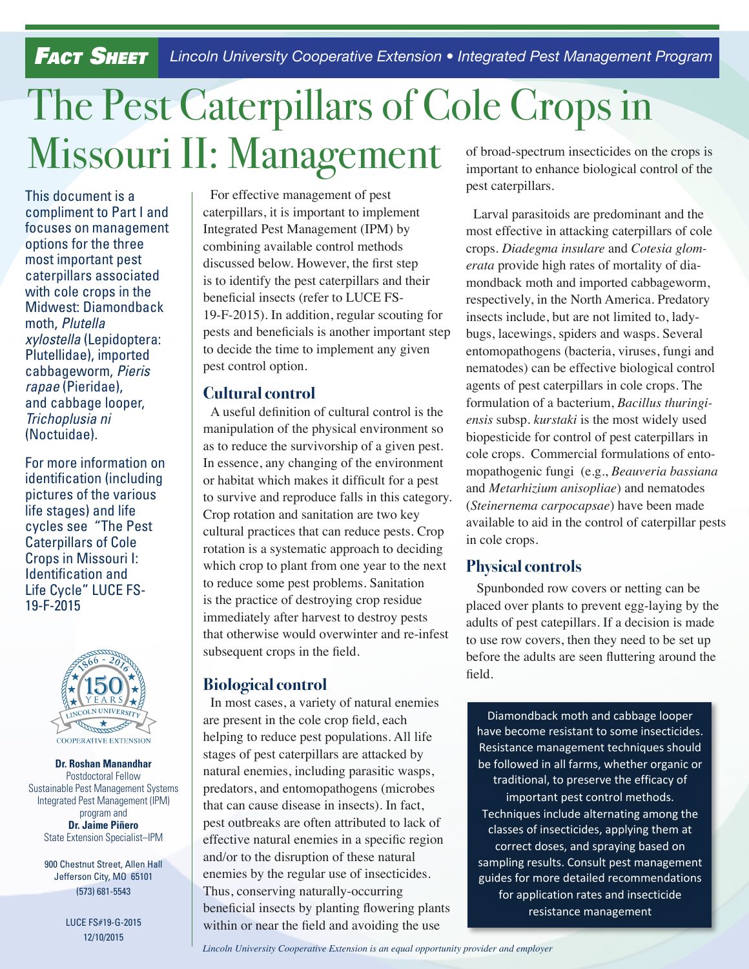## *Fact Sheet Lincoln University Cooperative Extension • Integrated Pest Management Program*

# The Pest Caterpillars of Cole Crops in Missouri II: Management

This document is a compliment to Part I and focuses on management options for the three most important pest caterpillars associated with cole crops in the Midwest: Diamondback moth, *Plutella xylostella* (Lepidoptera: Plutellidae), imported cabbageworm, *Pieris rapae* (Pieridae), and cabbage looper, *Trichoplusia ni* (Noctuidae).

For more information on identification (including pictures of the various life stages) and life cycles see "The Pest Caterpillars of Cole Crops in Missouri I: Identification and Life Cycle" LUCE FS-19-F-2015



**Dr. Roshan Manandhar**  Postdoctoral Fellow Sustainable Pest Management Systems Integrated Pest Management (IPM) program and **Dr. Jaime Piñero** State Extension Specialist–IPM

> 900 Chestnut Street, Allen Hall Jefferson City, MO 65101 (573) 681-5543

> > LUCE FS#19-G-2015 12/10/2015

For effective management of pest caterpillars, it is important to implement Integrated Pest Management (IPM) by combining available control methods discussed below. However, the first step is to identify the pest caterpillars and their beneficial insects (refer to LUCE FS-19-F-2015). In addition, regular scouting for pests and beneficials is another important step to decide the time to implement any given pest control option.

#### **Cultural control**

A useful definition of cultural control is the manipulation of the physical environment so as to reduce the survivorship of a given pest. In essence, any changing of the environment or habitat which makes it difficult for a pest to survive and reproduce falls in this category. Crop rotation and sanitation are two key cultural practices that can reduce pests. Crop rotation is a systematic approach to deciding which crop to plant from one year to the next to reduce some pest problems. Sanitation is the practice of destroying crop residue immediately after harvest to destroy pests that otherwise would overwinter and re-infest subsequent crops in the field.

#### **Biological control**

In most cases, a variety of natural enemies are present in the cole crop field, each helping to reduce pest populations. All life stages of pest caterpillars are attacked by natural enemies, including parasitic wasps, predators, and entomopathogens (microbes that can cause disease in insects). In fact, pest outbreaks are often attributed to lack of effective natural enemies in a specific region and/or to the disruption of these natural enemies by the regular use of insecticides. Thus, conserving naturally-occurring beneficial insects by planting flowering plants within or near the field and avoiding the use

of broad-spectrum insecticides on the crops is important to enhance biological control of the pest caterpillars.

Larval parasitoids are predominant and the most effective in attacking caterpillars of cole crops. *Diadegma insulare* and *Cotesia glomerata* provide high rates of mortality of diamondback moth and imported cabbageworm, respectively, in the North America. Predatory insects include, but are not limited to, ladybugs, lacewings, spiders and wasps. Several entomopathogens (bacteria, viruses, fungi and nematodes) can be effective biological control agents of pest caterpillars in cole crops. The formulation of a bacterium, *Bacillus thuringiensis* subsp. *kurstaki* is the most widely used biopesticide for control of pest caterpillars in cole crops. Commercial formulations of entomopathogenic fungi (e.g., *Beauveria bassiana* and *Metarhizium anisopliae*) and nematodes (*Steinernema carpocapsae*) have been made available to aid in the control of caterpillar pests in cole crops.

#### **Physical controls**

 Spunbonded row covers or netting can be placed over plants to prevent egg-laying by the adults of pest catepillars. If a decision is made to use row covers, then they need to be set up before the adults are seen fluttering around the field.

Diamondback moth and cabbage looper have become resistant to some insecticides. Resistance management techniques should be followed in all farms, whether organic or traditional, to preserve the efficacy of important pest control methods. Techniques include alternating among the classes of insecticides, applying them at correct doses, and spraying based on sampling results. Consult pest management guides for more detailed recommendations for application rates and insecticide resistance management